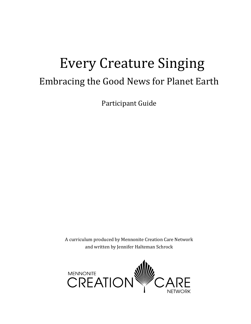# Every Creature Singing Embracing the Good News for Planet Earth

Participant Guide

A curriculum produced by Mennonite Creation Care Network and written by Jennifer Halteman Schrock

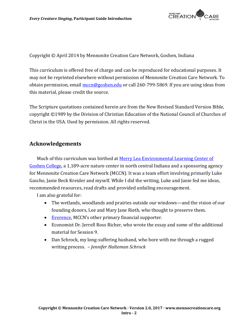

Copyright © April 2014 by Mennonite Creation Care Network, Goshen, Indiana

This curriculum is offered free of charge and can be reproduced for educational purposes. It may not be reprinted elsewhere without permission of Mennonite Creation Care Network. To obtain permission, email [mccn@goshen.edu](mailto:mccn@goshen.edu) or call 260-799-5869. If you are using ideas from this material, please credit the source.

The Scripture quotations contained herein are from the New Revised Standard Version Bible, copyright ©1989 by the Division of Christian Education of the National Council of Churches of Christ in the USA. Used by permission. All rights reserved.

### **Acknowledgements**

Much of this curriculum was birthed at [Merry Lea Environmental Learning Center of](https://www.goshen.edu/merrylea/)  [Goshen College,](https://www.goshen.edu/merrylea/) a 1,189-acre nature center in north central Indiana and a sponsoring agency for Mennonite Creation Care Network (MCCN). It was a team effort involving primarily Luke Gascho, Janie Beck Kreider and myself. While I did the writing, Luke and Janie fed me ideas, recommended resources, read drafts and provided unfailing encouragement.

I am also grateful for:

- The wetlands, woodlands and prairies outside our windows—and the vision of our founding donors, Lee and Mary Jane Rieth, who thought to preserve them.
- [Everence](https://www.everence.com/), MCCN's other primary financial supporter.
- Economist Dr. Jerrell Ross Richer, who wrote the essay and some of the additional material for Session 9.
- Dan Schrock, my long-suffering husband, who bore with me through a rugged writing process. *– Jennifer Halteman Schrock*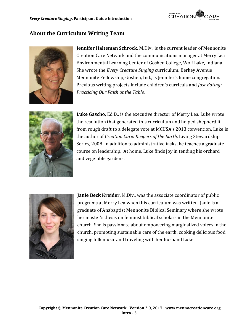

# **About the Curriculum Writing Team**



**Jennifer Halteman Schrock,** M.Div., is the current leader of Mennonite Creation Care Network and the communications manager at Merry Lea Environmental Learning Center of Goshen College, Wolf Lake, Indiana. She wrote the *Every Creature Singing* curriculum. Berkey Avenue Mennonite Fellowship, Goshen, Ind., is Jennifer's home congregation. Previous writing projects include children's curricula and *Just Eating: Practicing Our Faith at the Table.* 



**Luke Gascho,** Ed.D., is the executive director of Merry Lea. Luke wrote the resolution that generated this curriculum and helped shepherd it from rough draft to a delegate vote at MCUSA's 2013 convention. Luke is the author of *Creation Care: Keepers of the Earth,* Living Stewardship Series, 2008. In addition to administrative tasks, he teaches a graduate course on leadership. At home, Luke finds joy in tending his orchard and vegetable gardens.



**Janie Beck Kreider,** M.Div., was the associate coordinator of public programs at Merry Lea when this curriculum was written. Janie is a graduate of Anabaptist Mennonite Biblical Seminary where she wrote her master's thesis on feminist biblical scholars in the Mennonite church. She is passionate about empowering marginalized voices in the church, promoting sustainable care of the earth, cooking delicious food, singing folk music and traveling with her husband Luke.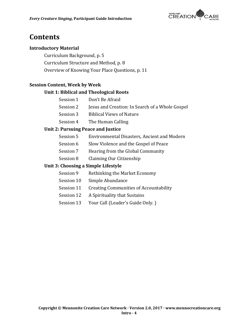

# **Contents**

#### **Introductory Material**

Curriculum Background, p. 5 Curriculum Structure and Method, p. 8 Overview of Knowing Your Place Questions, p. 11

### **Session Content, Week by Week**

#### **Unit 1: Biblical and Theological Roots**

- Session 1 Don't Be Afraid
- Session 2 Jesus and Creation: In Search of a Whole Gospel
- Session 3 Biblical Views of Nature
- Session 4 The Human Calling

#### **Unit 2: Pursuing Peace and Justice**

- Session 5 Environmental Disasters, Ancient and Modern
- Session 6 Slow Violence and the Gospel of Peace
- Session 7 Hearing from the Global Community
- Session 8 Claiming Our Citizenship

#### **Unit 3: Choosing a Simple Lifestyle**

- Session 9 Rethinking the Market Economy
- Session 10 Simple Abundance
- Session 11 Creating Communities of Accountability
- Session 12 A Spirituality that Sustains
- Session 13 Your Call (Leader's Guide Only.)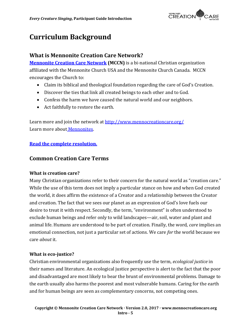

# **Curriculum Background**

### **What is Mennonite Creation Care Network?**

**[Mennonite Creation Care Network](http://www.mennocreationcare.org/) (MCCN)** is a bi-national Christian organization affiliated with the Mennonite Church USA and the Mennonite Church Canada. MCCN encourages the Church to:

- Claim its biblical and theological foundation regarding the care of God's Creation.
- Discover the ties that link all created beings to each other and to God.
- Confess the harm we have caused the natural world and our neighbors.
- Act faithfully to restore the earth.

Learn more and join the network at<http://www.mennocreationcare.org/> Learn more about [Mennonites.](http://www.mennocreationcare.org/about/who-are-mennonites/)

### **[Read the complete resolution.](http://www.mennocreationcare.org/wp-content/uploads/2017/02/0-ResolutionFINAL.pdf)**

### **Common Creation Care Terms**

#### **What is creation care?**

Many Christian organizations refer to their concern for the natural world as "creation care." While the use of this term does not imply a particular stance on how and when God created the world, it does affirm the existence of a Creator and a relationship between the Creator and creation. The fact that we sees our planet as an expression of God's love fuels our desire to treat it with respect. Secondly, the term, "environment" is often understood to exclude human beings and refer only to wild landscapes—air, soil, water and plant and animal life. Humans are understood to be part of creation. Finally, the word, *care* implies an emotional connection, not just a particular set of actions. We care *for* the world because we care *about* it.

#### **What is eco-justice?**

Christian environmental organizations also frequently use the term, *ecological justice* in their names and literature. An ecological justice perspective is alert to the fact that the poor and disadvantaged are most likely to bear the brunt of environmental problems. Damage to the earth usually also harms the poorest and most vulnerable humans. Caring for the earth and for human beings are seen as complementary concerns, not competing ones.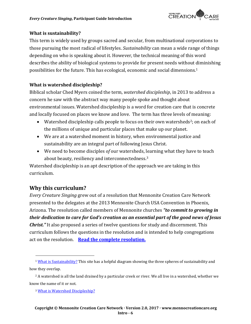

#### **What is sustainability?**

This term is widely used by groups sacred and secular, from multinational corporations to those pursuing the most radical of lifestyles. *Sustainability* can mean a wide range of things depending on who is speaking about it. However, the technical meaning of this word describes the ability of biological systems to provide for present needs without diminishing possibilities for the future. This has ecological, economic and social dimensions.<sup>1</sup>

### **What is watershed discipleship?**

Biblical scholar Ched Myers coined the term, *watershed discipleship*, in 2013 to address a concern he saw with the abstract way many people spoke and thought about environmental issues. Watershed discipleship is a word for creation care that is concrete and locally focused on places we know and love. The term has three levels of meaning:

- Watershed discipleship calls people to focus on their own watersheds2; on each of the millions of unique and particular places that make up our planet.
- We are at a watershed moment in history, when environmental justice and sustainability are an integral part of following Jesus Christ.
- We need to become disciples *of* our watersheds, learning what they have to teach about beauty, resiliency and interconnectedness.<sup>3</sup>

Watershed discipleship is an apt description of the approach we are taking in this curriculum.

### **Why this curriculum?**

 $\overline{a}$ 

*Every Creature Singing* grew out of a resolution that Mennonite Creation Care Network presented to the delegates at the 2013 Mennonite Church USA Convention in Phoenix, Arizona. The resolution called members of Mennonite churches *"to commit to growing in their dedication to care for God's creation as an essential part of the good news of Jesus Christ."* It also proposed a series of twelve questions for study and discernment. This curriculum follows the questions in the resolution and is intended to help congregations act on the resolution. **[Read the complete resolution.](http://www.mennocreationcare.org/wp-content/uploads/2017/02/0-ResolutionFINAL.pdf)**

<sup>&</sup>lt;sup>1</sup> What [is Sustainability?](http://www.vanderbilt.edu/sustainvu/who-we-are/what-is-sustainability/) This site has a helpful diagram showing the three spheres of sustainability and how they overlap.

<sup>&</sup>lt;sup>2</sup> A watershed is all the land drained by a particular creek or river. We all live in a watershed, whether we know the name of it or not.

<sup>3</sup> [What is Watershed Discipleship?](http://watersheddiscipleship.org/)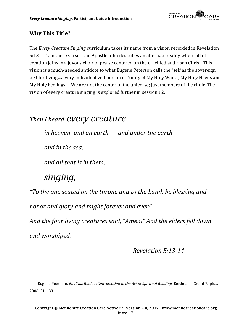

# **Why This Title?**

The *Every Creature Singing* curriculum takes its name from a vision recorded in Revelation 5:13 - 14. In these verses, the Apostle John describes an alternate reality where all of creation joins in a joyous choir of praise centered on the crucified and risen Christ. This vision is a much-needed antidote to what Eugene Peterson calls the "self as the sovereign text for living…a very individualized personal Trinity of My Holy Wants, My Holy Needs and My Holy Feelings." <sup>4</sup> We are not the center of the universe; just members of the choir. The vision of every creature singing is explored further in session 12.

# *Then I heard every creature*

*in heaven and on earth and under the earth* 

*and in the sea,* 

*and all that is in them,* 

# *singing,*

 $\overline{a}$ 

*"To the one seated on the throne and to the Lamb be blessing and* 

*honor and glory and might forever and ever!"* 

*And the four living creatures said, "Amen!" And the elders fell down and worshiped.*

*Revelation 5:13-14*

<sup>4</sup> Eugene Peterson*, Eat This Book: A Conversation in the Art of Spiritual Reading.* Eerdmans: Grand Rapids, 2006, 31 – 33.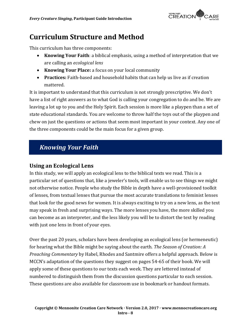

# **Curriculum Structure and Method**

This curriculum has three components:

- **Knowing Your Faith**: a biblical emphasis, using a method of interpretation that we are calling an *ecological lens*
- **Knowing Your Place:** a focus on your local community
- **Practices:** Faith-based and household habits that can help us live as if creation mattered.

It is important to understand that this curriculum is not strongly prescriptive. We don't have a list of right answers as to what God is calling your congregation to do and be. We are leaving a lot up to you and the Holy Spirit. Each session is more like a playpen than a set of state educational standards. You are welcome to throw half the toys out of the playpen and chew on just the questions or actions that seem most important in your context. Any one of the three components could be the main focus for a given group.

# *Knowing Your Faith*

### **Using an Ecological Lens**

In this study, we will apply an ecological lens to the biblical texts we read. This is a particular set of questions that, like a jeweler's tools, will enable us to see things we might not otherwise notice. People who study the Bible in depth have a well-provisioned toolkit of lenses, from textual lenses that pursue the most accurate translations to feminist lenses that look for the good news for women. It is always exciting to try on a new lens, as the text may speak in fresh and surprising ways. The more lenses you have, the more skilled you can become as an interpreter, and the less likely you will be to distort the text by reading with just one lens in front of your eyes.

Over the past 20 years, scholars have been developing an ecological lens (or hermeneutic) for hearing what the Bible might be saying about the earth. *The Season of Creation: A Preaching Commentary* by Habel, Rhodes and Santmire offers a helpful approach. Below is MCCN's adaptation of the questions they suggest on pages 54-65 of their book. We will apply some of these questions to our texts each week. They are lettered instead of numbered to distinguish them from the discussion questions particular to each session. These questions are also available for classroom use in bookmark or handout formats.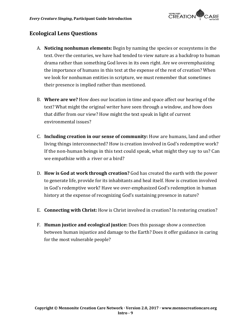

# **Ecological Lens Questions**

- A. **Noticing nonhuman elements:** Begin by naming the species or ecosystems in the text. Over the centuries, we have had tended to view nature as a backdrop to human drama rather than something God loves in its own right. Are we overemphasizing the importance of humans in this text at the expense of the rest of creation? When we look for nonhuman entities in scripture, we must remember that sometimes their presence is implied rather than mentioned.
- B. **Where are we?** How does our location in time and space affect our hearing of the text? What might the original writer have seen through a window, and how does that differ from our view? How might the text speak in light of current environmental issues?
- C. **Including creation in our sense of community:** How are humans, land and other living things interconnected? How is creation involved in God's redemptive work? If the non-human beings in this text could speak, what might they say to us? Can we empathize with a river or a bird?
- D. **How is God at work through creation?** God has created the earth with the power to generate life, provide for its inhabitants and heal itself. How is creation involved in God's redemptive work? Have we over-emphasized God's redemption in human history at the expense of recognizing God's sustaining presence in nature?
- E. **Connecting with Christ:** How is Christ involved in creation? In restoring creation?
- F. **Human justice and ecological justice:** Does this passage show a connection between human injustice and damage to the Earth? Does it offer guidance in caring for the most vulnerable people?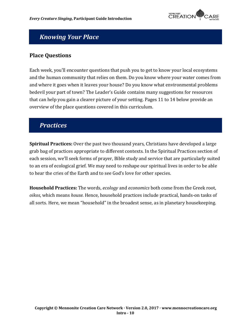

# *Knowing Your Place*

# **Place Questions**

Each week, you'll encounter questions that push you to get to know your local ecosystems and the human community that relies on them. Do you know where your water comes from and where it goes when it leaves your house? Do you know what environmental problems bedevil your part of town? The Leader's Guide contains many suggestions for resources that can help you gain a clearer picture of your setting. Pages 11 to 14 below provide an overview of the place questions covered in this curriculum.

# *Practices*

**Spiritual Practices:** Over the past two thousand years, Christians have developed a large grab bag of practices appropriate to different contexts. In the Spiritual Practices section of each session, we'll seek forms of prayer, Bible study and service that are particularly suited to an era of ecological grief. We may need to reshape our spiritual lives in order to be able to hear the cries of the Earth and to see God's love for other species.

**Household Practices:** The words, *ecology* and *economics* both come from the Greek root, *oikos*, which means *house.* Hence, household practices include practical, hands-on tasks of all sorts. Here, we mean "household" in the broadest sense, as in planetary housekeeping.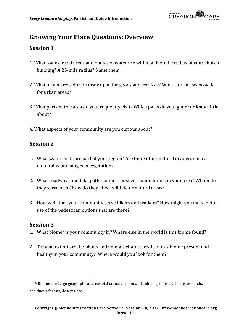

# **Knowing Your Place Questions: Overview**

### **Session 1**

- 1. What towns, rural areas and bodies of water are within a five-mile radius of your church building? A 25-mile radius? Name them.
- 2. What urban areas do you draw upon for goods and services? What rural areas provide for urban areas?
- 3. What parts of this area do you frequently visit? Which parts do you ignore or know little about?
- 4. What aspects of your community are you curious about?

## **Session 2**

- 1. What watersheds are part of your region? Are there other natural dividers such as mountains or changes in vegetation?
- 2. What roadways and bike paths connect or sever communities in your area? Whom do they serve best? How do they affect wildlife or natural areas?
- 3. How well does your community serve bikers and walkers? How might you make better use of the pedestrian options that are there?

### **Session 3**

 $\overline{a}$ 

- 1. What biome<sup>5</sup> is your community in? Where else in the world is this biome found?
- 2. To what extent are the plants and animals characteristic of this biome present and healthy in your community? Where would you look for them?

<sup>5</sup> Biomes are large geographical areas of distinctive plant and animal groups, such as grasslands, deciduous forests, deserts, etc.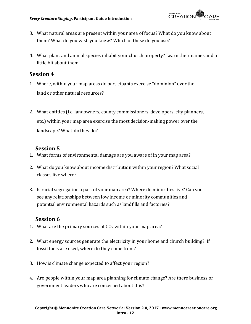

- 3. What natural areas are present within your area of focus? What do you know about them? What do you wish you knew? Which of these do you use?
- **4.** What plant and animal species inhabit your church property? Learn their names and a little bit about them.

### **Session 4**

- 1. Where, within your map areas do participants exercise "dominion" over the land or other natural resources?
- 2. What entities (i.e. landowners, county commissioners, developers, city planners, etc.) within your map area exercise the most decision‐making power over the landscape? What do they do?

# **Session 5**

- 1. What forms of environmental damage are you aware of in your map area?
- 2. What do you know about income distribution within your region? What social classes live where?
- 3. Is racial segregation a part of your map area? Where do minorities live? Can you see any relationships between low income or minority communities and potential environmental hazards such as landfills and factories?

# **Session 6**

- 1. What are the primary sources of  $CO<sub>2</sub>$  within your map area?
- 2. What energy sources generate the electricity in your home and church building? If fossil fuels are used, where do they come from?
- 3. How is climate change expected to affect your region?
- 4. Are people within your map area planning for climate change? Are there business or government leaders who are concerned about this?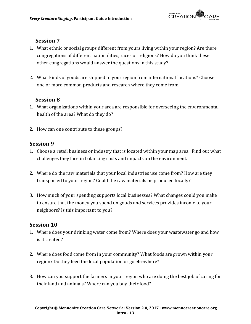

### **Session 7**

- 1. What ethnic or social groups different from yours living within your region? Are there congregations of different nationalities, races or religions? How do you think these other congregations would answer the questions in this study?
- 2. What kinds of goods are shipped to your region from international locations? Choose one or more common products and research where they come from.

# **Session 8**

- 1. What organizations within your area are responsible for overseeing the environmental health of the area? What do they do?
- 2. How can one contribute to these groups?

### **Session 9**

- 1. Choose a retail business or industry that is located within your map area. Find out what challenges they face in balancing costs and impacts on the environment.
- 2. Where do the raw materials that your local industries use come from? How are they transported to your region? Could the raw materials be produced locally?
- 3. How much of your spending supports local businesses? What changes could you make to ensure that the money you spend on goods and services provides income to your neighbors? Is this important to you?

### **Session 10**

- 1. Where does your drinking water come from? Where does your wastewater go and how is it treated?
- 2. Where does food come from in your community? What foods are grown within your region? Do they feed the local population or go elsewhere?
- 3. How can you support the farmers in your region who are doing the best job of caring for their land and animals? Where can you buy their food?